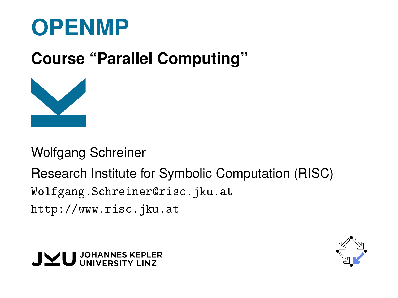

## **Course "Parallel Computing"**



Wolfgang Schreiner

Research Institute for Symbolic Computation (RISC) [Wolfgang.Schreiner@risc.jku.at](mailto:Wolfgang.Schreiner@risc.jku.at) <http://www.risc.jku.at>



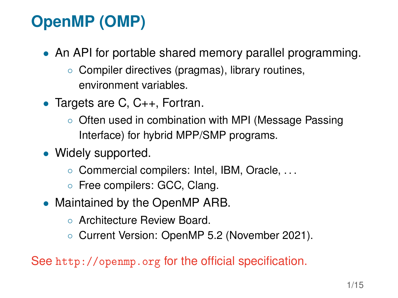# **OpenMP (OMP)**

- An API for portable shared memory parallel programming.
	- Compiler directives (pragmas), library routines, environment variables.
- Targets are C, C++, Fortran.
	- Often used in combination with MPI (Message Passing Interface) for hybrid MPP/SMP programs.
- Widely supported.
	- Commercial compilers: Intel, IBM, Oracle, . . .
	- Free compilers: GCC, Clang.
- Maintained by the OpenMP ARB.
	- Architecture Review Board.
	- Current Version: OpenMP 5.2 (November 2021).

See <http://openmp.org> for the official specification.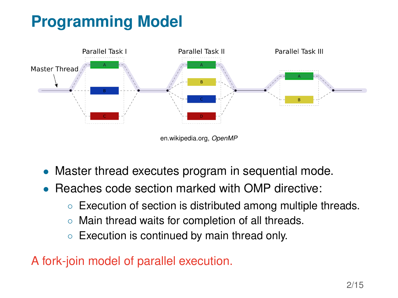# **Programming Model**



en.wikipedia.org, *OpenMP*

- Master thread executes program in sequential mode.
- Reaches code section marked with OMP directive:
	- Execution of section is distributed among multiple threads.
	- Main thread waits for completion of all threads.
	- Execution is continued by main thread only.

A fork-join model of parallel execution.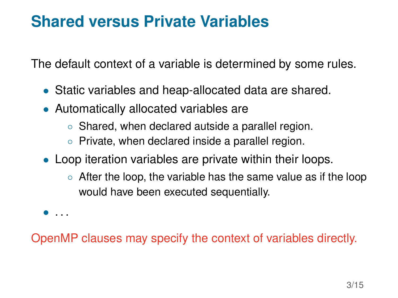#### **Shared versus Private Variables**

The default context of a variable is determined by some rules.

- Static variables and heap-allocated data are shared.
- Automatically allocated variables are
	- Shared, when declared autside a parallel region.
	- Private, when declared inside a parallel region.
- Loop iteration variables are private within their loops.
	- After the loop, the variable has the same value as if the loop would have been executed sequentially.

• . . .

OpenMP clauses may specify the context of variables directly.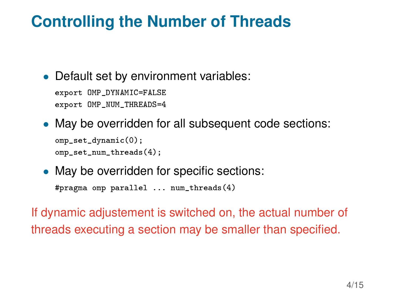## **Controlling the Number of Threads**

• Default set by environment variables:

export OMP\_DYNAMIC=FALSE export OMP\_NUM\_THREADS=4

• May be overridden for all subsequent code sections:

```
omp_set_dynamic(0):
omp_set_num_threads(4);
```
• May be overridden for specific sections:

#pragma omp parallel ... num\_threads(4)

If dynamic adjustement is switched on, the actual number of threads executing a section may be smaller than specified.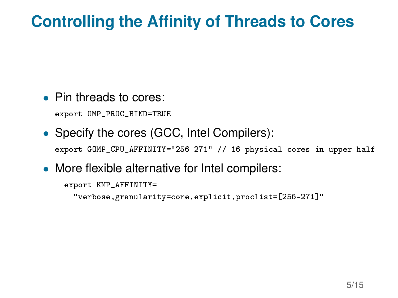## **Controlling the Affinity of Threads to Cores**

• Pin threads to cores:

export OMP\_PROC\_BIND=TRUE

• Specify the cores (GCC, Intel Compilers):

export GOMP\_CPU\_AFFINITY="256-271" // 16 physical cores in upper half

• More flexible alternative for Intel compilers:

```
export KMP_AFFINITY=
  "verbose,granularity=core,explicit,proclist=[256-271]"
```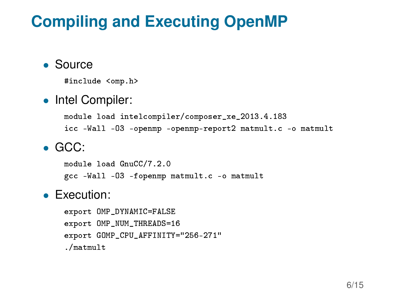## **Compiling and Executing OpenMP**

- Source
	- #include <omp.h>
- Intel Compiler:

module load intelcompiler/composer\_xe\_2013.4.183 icc -Wall -O3 -openmp -openmp-report2 matmult.c -o matmult

#### • GCC:

module load GnuCC/7.2.0 gcc -Wall -O3 -fopenmp matmult.c -o matmult

#### • Execution:

export OMP\_DYNAMIC=FALSE export OMP\_NUM\_THREADS=16 export GOMP\_CPU\_AFFINITY="256-271" ./matmult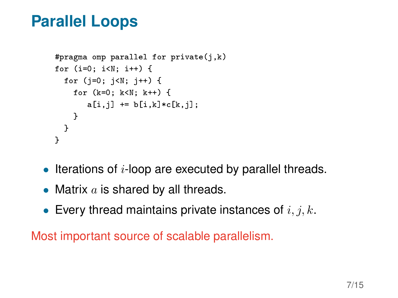#### **Parallel Loops**

```
#pragma omp parallel for private(j,k)
for (i=0; i<N; i++) {
  for (j=0; j<N; j++) {
    for (k=0; k<N; k++) {
       a[i,j] += b[i,k]*c[k,j];}
  }
}
```
- $\bullet$  Iterations of *i*-loop are executed by parallel threads.
- Matrix  $a$  is shared by all threads.
- Every thread maintains private instances of  $i, j, k$ .

Most important source of scalable parallelism.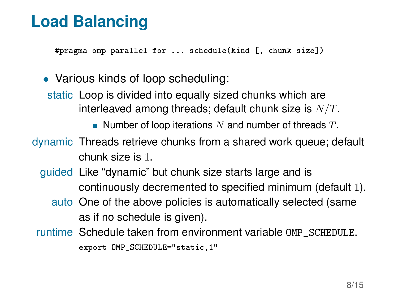## **Load Balancing**

#pragma omp parallel for ... schedule(kind [, chunk size])

• Various kinds of loop scheduling: static Loop is divided into equally sized chunks which are interleaved among threads; default chunk size is  $N/T$ . Number of loop iterations N and number of threads  $T$ . dynamic Threads retrieve chunks from a shared work queue; default chunk size is 1. guided Like "dynamic" but chunk size starts large and is continuously decremented to specified minimum (default 1).

- auto One of the above policies is automatically selected (same as if no schedule is given).
- runtime Schedule taken from environment variable OMP\_SCHEDULE.

export OMP\_SCHEDULE="static,1"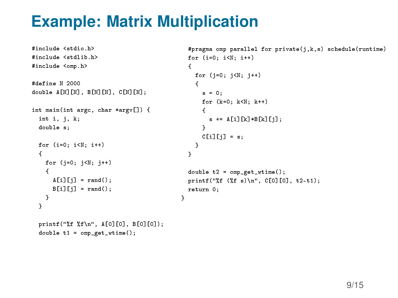## **Example: Matrix Multiplication**

```
#include <stdio.h>
#include <stdlib.h>
#include <omp.h>
#define N 2000
double A[N][N], B[N][N], C[N][N];
int main(int argc, char *argv[]) {
 int i, i, k;
 double s;
 for (i=0; i < N; i++){
    for (i=0; i < N; i++){
     A[i][j] = rand();
     B[i][j] = rand();
   }
 }
 printf("ff f(n", A[0][0], B[0][0];
                                               #pragma omp parallel for private(j,k,s) schedule(runtime)
                                              for (i=0; i < N; i++){
                                                 for (i=0; i < N; i++){
                                                   s = 0;for (k=0; k<N; k++)
                                                   {
                                                     s += A[i][k]*B[k][j];
                                                   \mathbf{r}C[i][j] = s;}
                                               }
                                               double t2 = omp_get_wtime();
                                               printf("%f (%f s)\n", C[0][0], t2-t1);
                                               return 0;
                                             }
```
double  $t1 =$  omp\_get\_wtime();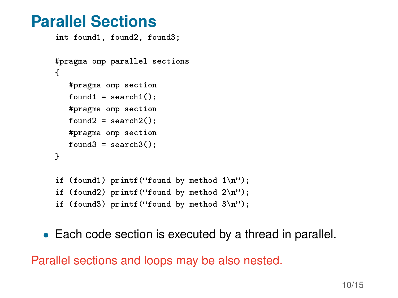#### **Parallel Sections**

```
int found1, found2, found3;
#pragma omp parallel sections
{
   #pragma omp section
   found1 = search1():
   #pragma omp section
   found2 = search2():
   #pragma omp section
   found3 = search3():
}
if (found1) printf("found by method 1\langle n''\rangle;
if (found2) printf("found by method 2\n');
if (found3) printf("found by method 3\nu");
```
• Each code section is executed by a thread in parallel.

Parallel sections and loops may be also nested.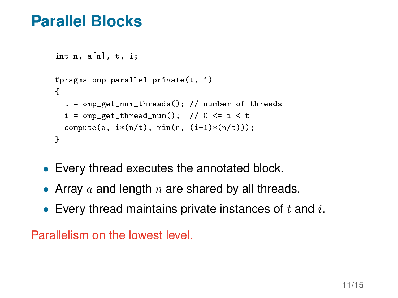#### **Parallel Blocks**

```
int n, afn1, t, i;#pragma omp parallel private(t, i)
{
  t = omp get num_threads(); // number of threads
  i = \text{omp\_get\_thread\_num}(); // 0 <= i \lt tcompute(a, i*(n/t), min(n, (i+1)*(n/t));
}
```
- Every thread executes the annotated block.
- Array a and length n are shared by all threads.
- Every thread maintains private instances of  $t$  and  $i$ .

```
Parallelism on the lowest level.
```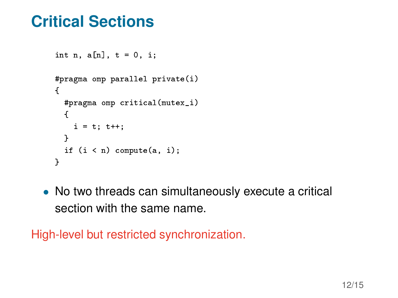#### **Critical Sections**

```
int n, a[n], t = 0, i;
#pragma omp parallel private(i)
{
  #pragma omp critical(mutex_i)
  {
    i = t; t + j;
  }
  if (i \le n) compute(a, i);
}
```
• No two threads can simultaneously execute a critical section with the same name.

High-level but restricted synchronization.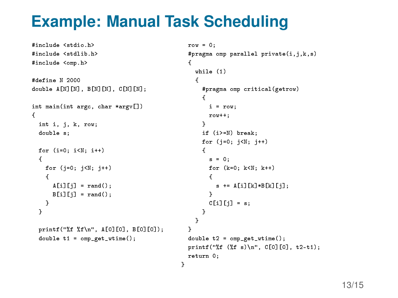## **Example: Manual Task Scheduling**

}

```
#include <stdio.h>
#include <stdlib.h>
#include <omp.h>
#define N 2000
double A[N][N], B[N][N], C[N][N];
int main(int argc, char *argv[])
{
 int i, j, k, row;
 double s;
 for (i=0; i < N; i++){
   for (i=0; i < N; i++){
     A[i][i] = rand();
     B[i][j] = rand();
    }
 }
 printf("%f %f\n", A[0][0], B[0][0]);
 double t1 = omp_get_wtime();
                                               {
                                                 while (1)
                                                 {
                                                    {
                                                     row++;
                                                   }
                                                   {
                                                     s = 0:
                                                     {
                                                     }
                                                   }
                                                 }
                                               }
                                               return 0;
```

```
row = 0:
#pragma omp parallel private(i,j,k,s)
   #pragma omp critical(getrow)
     i = row;
    if (i>=N) break;
    for (i=0; i < N; i++)for (k=0; k<N; k++)
        s += A[i][k] *B[k][i];
      C[i][j] = s;double t2 = omp_get_wtime();
printf("ff (f s)n", C[0][0], t2-t1);
```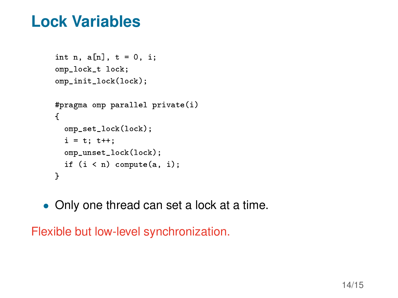#### **Lock Variables**

```
int n, a[n], t = 0, i;
omp_lock_t lock;
omp_init_lock(lock);
#pragma omp parallel private(i)
{
  omp_set_lock(lock);
  i = t; t++;
  omp_unset_lock(lock);
  if (i < n) compute(a, i);
}
```
• Only one thread can set a lock at a time.

Flexible but low-level synchronization.